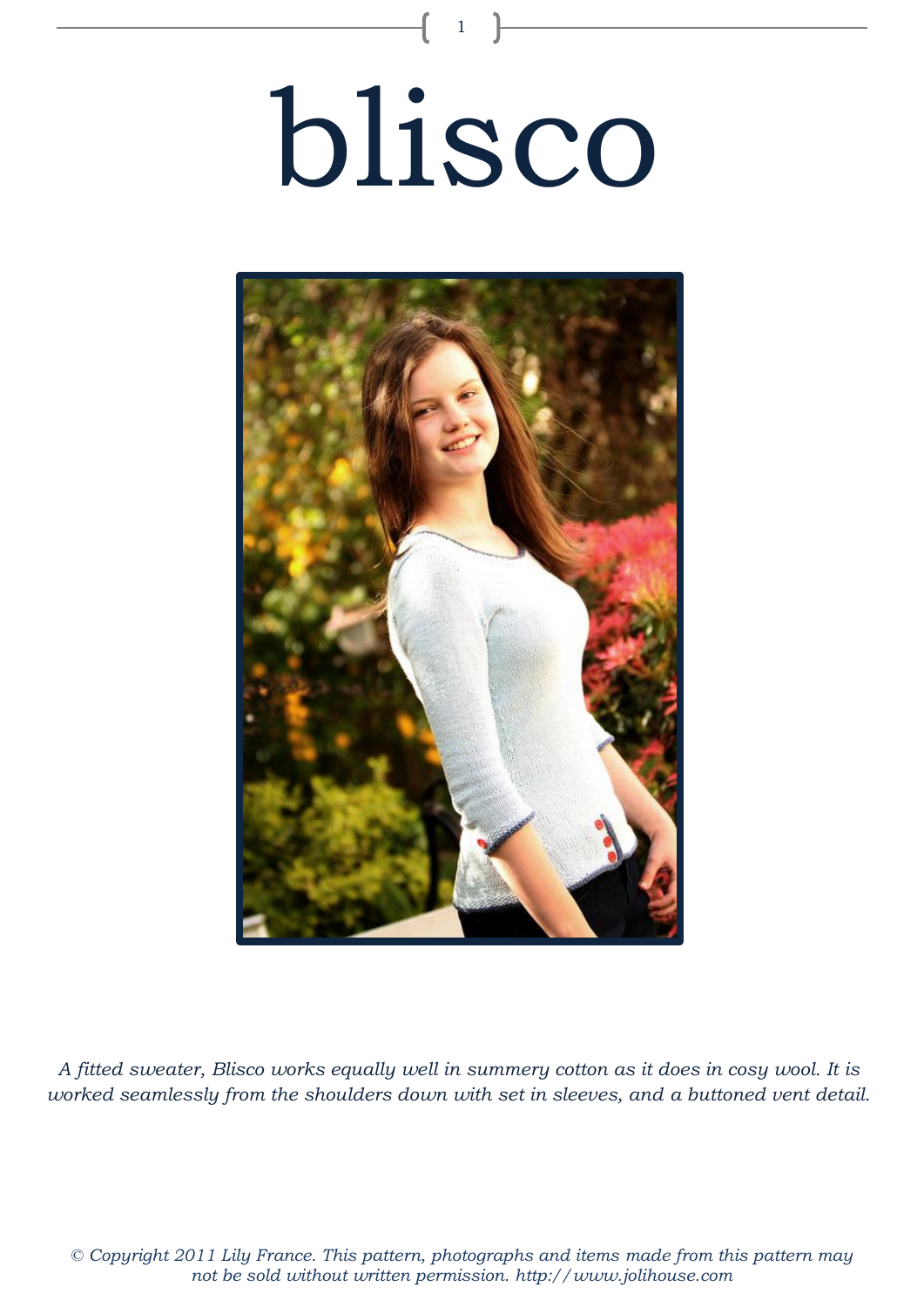# blisco

1



*A fitted sweater, Blisco works equally well in summery cotton as it does in cosy wool. It is worked seamlessly from the shoulders down with set in sleeves, and a buttoned vent detail.*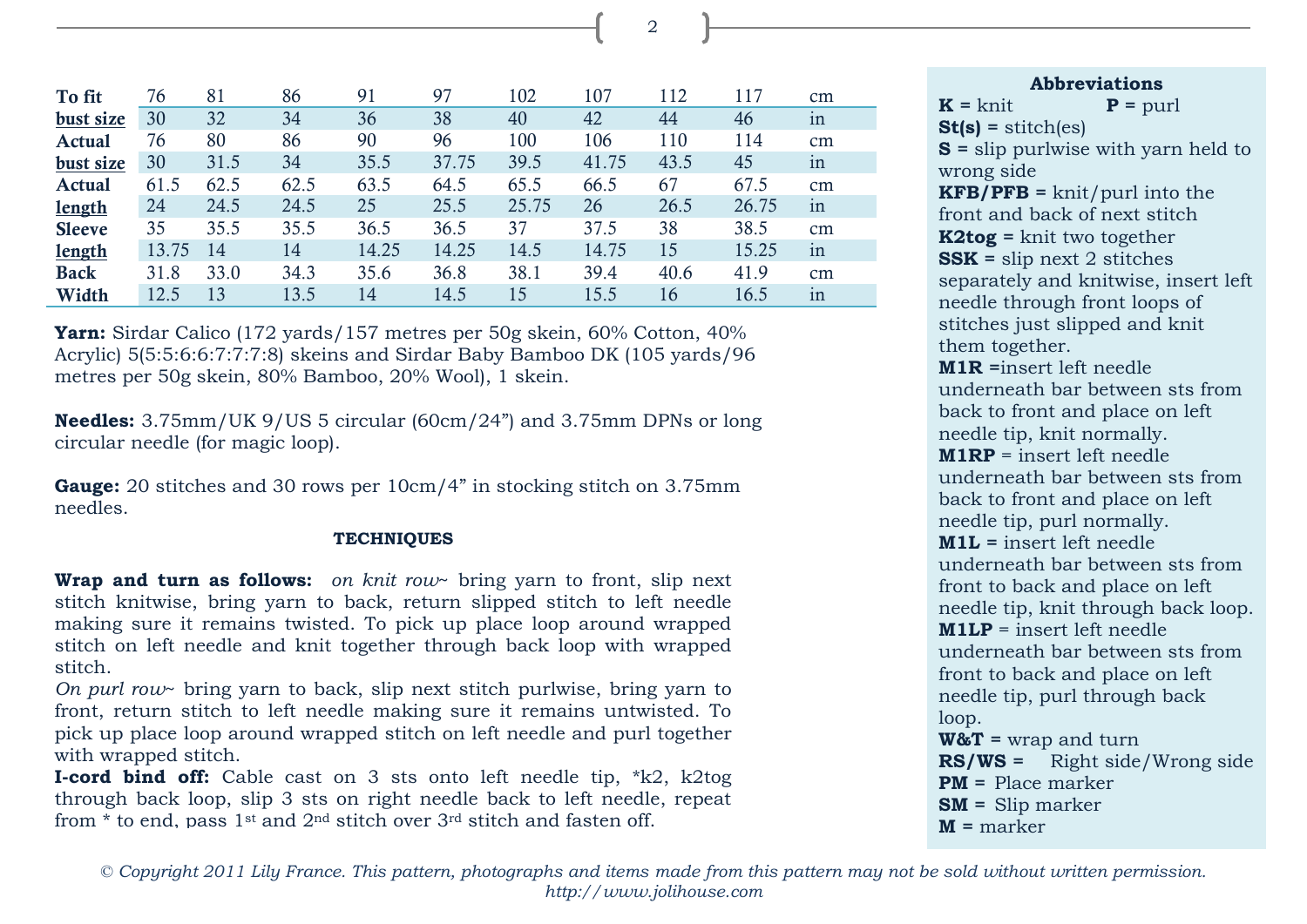| To fit        | 76    | 81   | 86   | 91    | 97    | 102   | 107   | 112  | 117   | $\rm cm$ |
|---------------|-------|------|------|-------|-------|-------|-------|------|-------|----------|
| bust size     | 30    | 32   | 34   | 36    | 38    | 40    | 42    | 44   | 46    | 1n       |
| Actual        | 76    | 80   | 86   | 90    | 96    | 100   | 106   | 110  | 114   | $\rm cm$ |
| bust size     | 30    | 31.5 | 34   | 35.5  | 37.75 | 39.5  | 41.75 | 43.5 | 45    | 1n       |
| <b>Actual</b> | 61.5  | 62.5 | 62.5 | 63.5  | 64.5  | 65.5  | 66.5  | 67   | 67.5  | $\rm cm$ |
| <b>length</b> | 24    | 24.5 | 24.5 | 25    | 25.5  | 25.75 | 26    | 26.5 | 26.75 | in       |
| <b>Sleeve</b> | 35    | 35.5 | 35.5 | 36.5  | 36.5  | 37    | 37.5  | 38   | 38.5  | $\rm cm$ |
| <b>length</b> | 13.75 | 14   | 14   | 14.25 | 14.25 | 14.5  | 14.75 | 15   | 15.25 | in       |
| <b>Back</b>   | 31.8  | 33.0 | 34.3 | 35.6  | 36.8  | 38.1  | 39.4  | 40.6 | 41.9  | $\rm cm$ |
| Width         | 12.5  | 13   | 13.5 | 14    | 14.5  | 15    | 15.5  | 16   | 16.5  | 1n       |

**Yarn:** Sirdar Calico (172 yards/157 metres per 50g skein, 60% Cotton, 40% Acrylic) 5(5:5:6:6:7:7:7:8) skeins and Sirdar Baby Bamboo DK (105 yards/96 metres per 50g skein, 80% Bamboo, 20% Wool), 1 skein.

**Needles:** 3.75mm/UK 9/US 5 circular (60cm/24") and 3.75mm DPNs or long circular needle (for magic loop).

**Gauge:** 20 stitches and 30 rows per 10cm/4" in stocking stitch on 3.75mm needles.

# **TECHNIQUES**

**Wrap and turn as follows:** *on knit row*~ bring yarn to front, slip next stitch knitwise, bring yarn to back, return slipped stitch to left needle making sure it remains twisted. To pick up place loop around wrapped stitch on left needle and knit together through back loop with wrapped stitch.

*On purl row*~ bring yarn to back, slip next stitch purlwise, bring yarn to front, return stitch to left needle making sure it remains untwisted. To pick up place loop around wrapped stitch on left needle and purl together with wrapped stitch.

**I-cord bind off:** Cable cast on 3 sts onto left needle tip, \*k2, k2tog through back loop, slip 3 sts on right needle back to left needle, repeat from  $*$  to end, pass 1<sup>st</sup> and 2<sup>nd</sup> stitch over 3<sup>rd</sup> stitch and fasten off.

 $K = k$ nit  $P = p$ url **St(s) =** stitch(es) **S =** slip purlwise with yarn held to wrong side **KFB/PFB =** knit/purl into the front and back of next stitch **K2tog =** knit two together **SSK =** slip next 2 stitches separately and knitwise, insert left needle through front loops of stitches just slipped and knit them together. **M1R =**insert left needle underneath bar between sts from back to front and place on left needle tip, knit normally. **M1RP** = insert left needle underneath bar between sts from back to front and place on left needle tip, purl normally. **M1L =** insert left needle underneath bar between sts from front to back and place on left needle tip, knit through back loop. **M1LP** = insert left needle underneath bar between sts from front to back and place on left needle tip, purl through back loop. **W&T =** wrap and turn **RS/WS =** Right side/Wrong side **PM =** Place marker **SM =** Slip marker **M =** marker

**Abbreviations**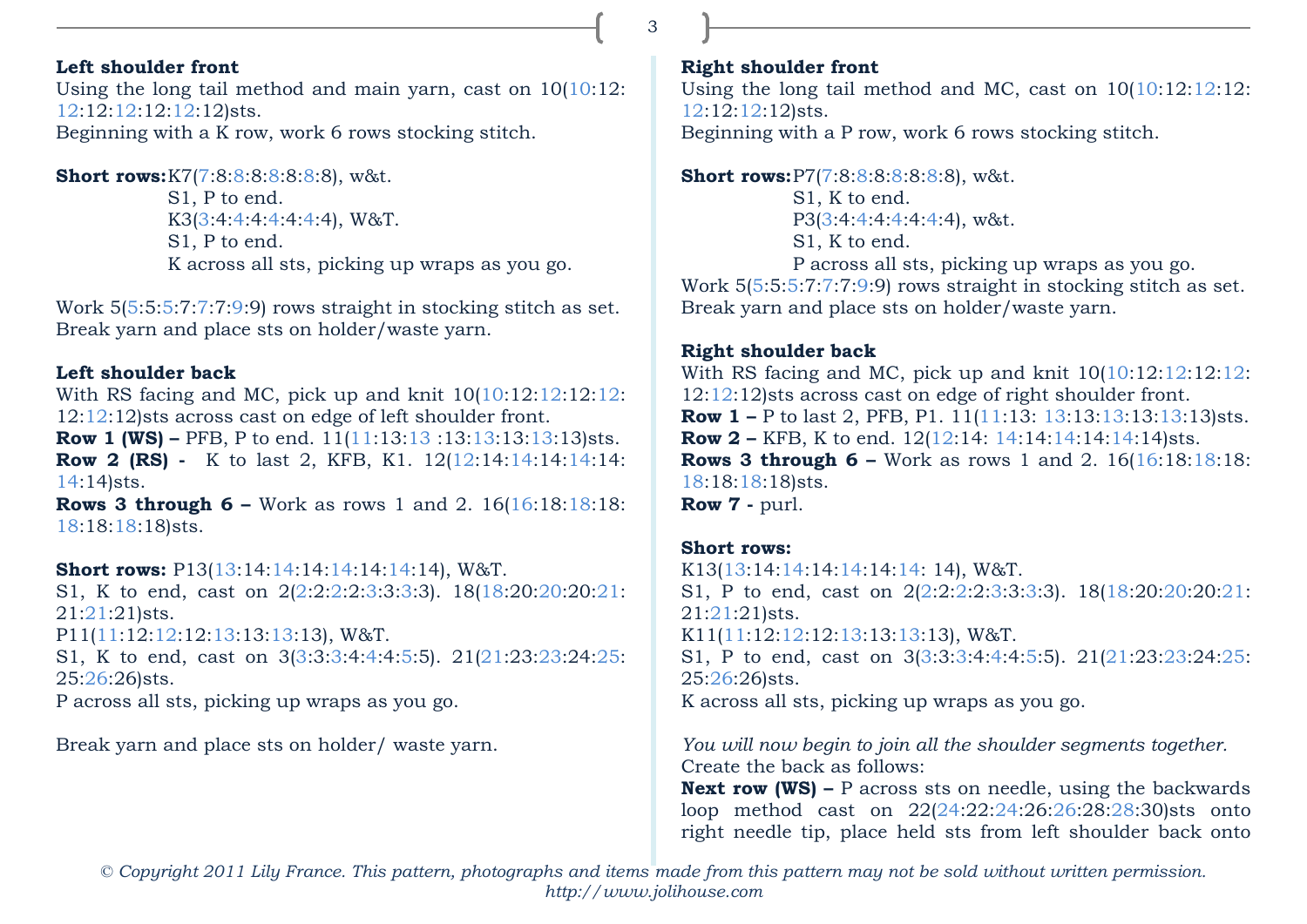# **Left shoulder front**

Using the long tail method and main yarn, cast on 10(10:12: 12:12:12:12:12:12)sts. Beginning with a K row, work 6 rows stocking stitch.

**Short rows:**K7(7:8:8:8:8:8:8:8), w&t.

S1, P to end. K3(3:4:4:4:4:4:4:4), W&T. S1, P to end. K across all sts, picking up wraps as you go.

Work 5(5:5:5:7:7:7:9:9) rows straight in stocking stitch as set. Break yarn and place sts on holder/waste yarn.

### **Left shoulder back**

With RS facing and MC, pick up and knit  $10(10:12:12:12:12:12)$ 12:12:12)sts across cast on edge of left shoulder front. **Row 1 (WS) –** PFB, P to end. 11(11:13:13:13:13:13:13:13)sts. **Row 2 (RS)** - K to last 2, KFB, K1. 12(12:14:14:14:14:14:14: 14:14)sts.

**Rows 3 through 6 –** Work as rows 1 and 2. 16(16:18:18:18: 18:18:18:18)sts.

**Short rows:** P13(13:14:14:14:14:14:14:14), W&T.

S1, K to end, cast on 2(2:2:2:2:3:3:3:3). 18(18:20:20:20:21: 21:21:21)sts.

P11(11:12:12:12:13:13:13:13), W&T.

S1, K to end, cast on 3(3:3:3:4:4:4:5:5). 21(21:23:23:24:25: 25:26:26)sts.

P across all sts, picking up wraps as you go.

Break yarn and place sts on holder/ waste yarn.

# **Right shoulder front**

Using the long tail method and MC, cast on  $10(10:12:12:12:12)$ 12:12:12:12)sts. Beginning with a P row, work 6 rows stocking stitch.

**Short rows:**P7(7:8:8:8:8:8:8:8), w&t.

S1, K to end. P3(3:4:4:4:4:4:4:4), w&t. S1, K to end.

P across all sts, picking up wraps as you go. Work 5(5:5:5:7:7:7:9:9) rows straight in stocking stitch as set. Break yarn and place sts on holder/waste yarn.

# **Right shoulder back**

With RS facing and MC, pick up and knit  $10(10:12:12:12:12:12)$ 12:12:12)sts across cast on edge of right shoulder front. **Row 1** – P to last 2, PFB, P1. 11(11:13: 13:13:13:13:13:13)sts. **Row 2 –** KFB, K to end. 12(12:14: 14:14:14:14:14:14)sts. **Rows 3 through 6 –** Work as rows 1 and 2. 16(16:18:18:18: 18:18:18:18)sts. **Row 7 -** purl.

# **Short rows:**

K13(13:14:14:14:14:14:14: 14), W&T. S1, P to end, cast on 2(2:2:2:2:3:3:3:3). 18(18:20:20:20:21: 21:21:21)sts. K11(11:12:12:12:13:13:13:13), W&T. S1, P to end, cast on 3(3:3:3:4:4:4:5:5). 21(21:23:23:24:25: 25:26:26)sts. K across all sts, picking up wraps as you go.

*You will now begin to join all the shoulder segments together.*  Create the back as follows:

**Next row (WS) –** P across sts on needle, using the backwards loop method cast on 22(24:22:24:26:26:28:28:30)sts onto right needle tip, place held sts from left shoulder back onto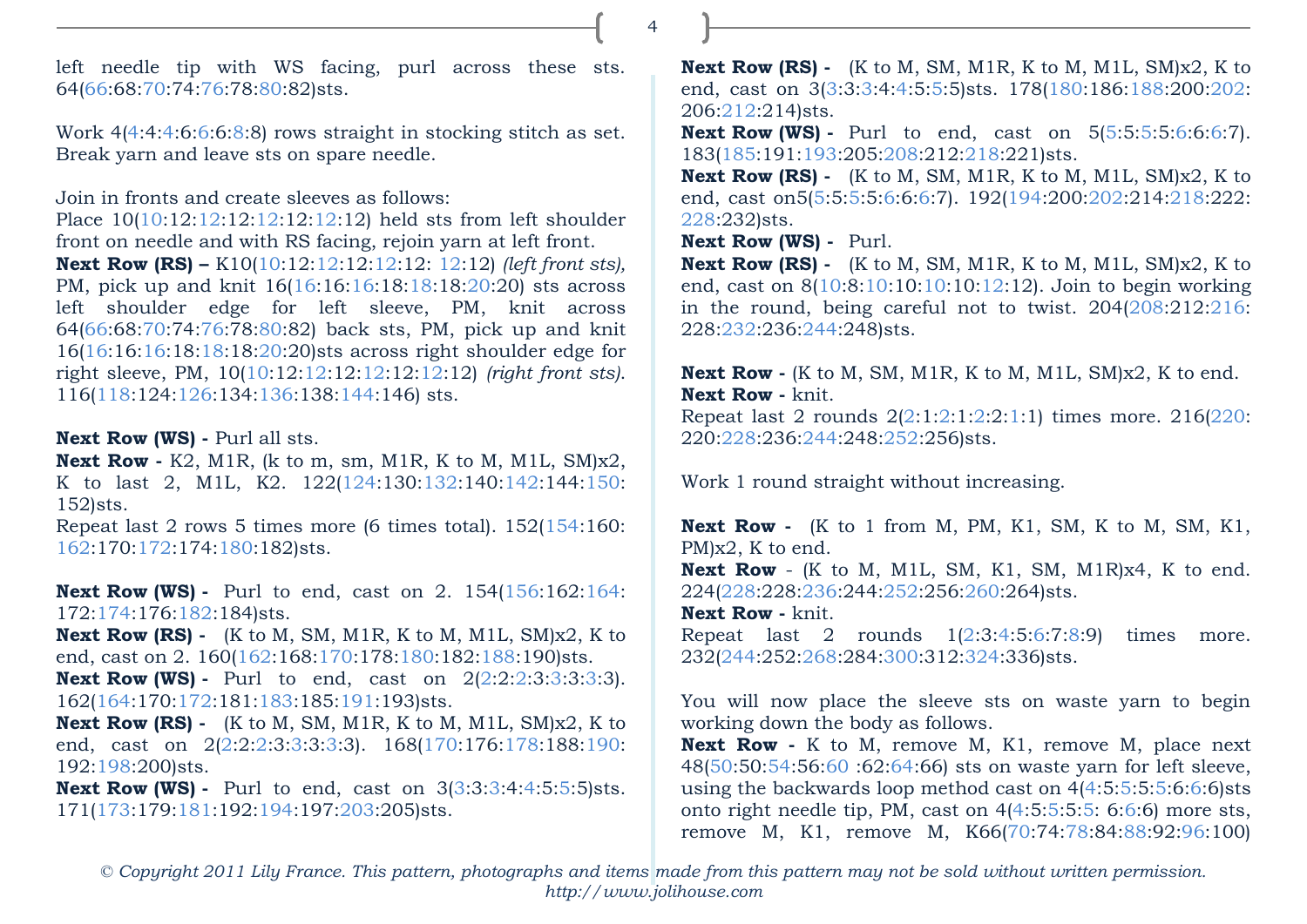left needle tip with WS facing, purl across these sts. 64(66:68:70:74:76:78:80:82)sts.

Work 4(4:4:4:6:6:6:8:8) rows straight in stocking stitch as set. Break yarn and leave sts on spare needle.

Join in fronts and create sleeves as follows:

Place 10(10:12:12:12:12:12:12:12) held sts from left shoulder front on needle and with RS facing, rejoin yarn at left front. **Next Row (RS) –** K10(10:12:12:12:12:12: 12:12) *(left front sts),* PM, pick up and knit 16(16:16:16:18:18:18:20:20) sts across left shoulder edge for left sleeve, PM, knit across 64(66:68:70:74:76:78:80:82) back sts, PM, pick up and knit 16(16:16:16:18:18:18:20:20)sts across right shoulder edge for right sleeve, PM, 10(10:12:12:12:12:12:12:12) *(right front sts)*. 116(118:124:126:134:136:138:144:146) sts.

**Next Row (WS) -** Purl all sts.

**Next Row -** K2, M1R, (k to m, sm, M1R, K to M, M1L, SM)x2, K to last 2, M1L, K2. 122(124:130:132:140:142:144:150: 152)sts.

Repeat last 2 rows 5 times more (6 times total). 152(154:160: 162:170:172:174:180:182)sts.

**Next Row (WS) -** Purl to end, cast on 2. 154(156:162:164: 172:174:176:182:184)sts.

**Next Row (RS) -** (K to M, SM, M1R, K to M, M1L, SM)x2, K to end, cast on 2. 160(162:168:170:178:180:182:188:190)sts.

**Next Row (WS) -** Purl to end, cast on  $2(2:2:2:3:3:3:3:3)$ . 162(164:170:172:181:183:185:191:193)sts.

**Next Row (RS) -** (K to M, SM, M1R, K to M, M1L, SM)x2, K to end, cast on 2(2:2:2:3:3:3:3:3). 168(170:176:178:188:190: 192:198:200)sts.

**Next Row (WS) -** Purl to end, cast on 3(3:3:3:4:4:5:5:5)sts. 171(173:179:181:192:194:197:203:205)sts.

**Next Row (RS) -** (K to M, SM, M1R, K to M, M1L, SM)x2, K to end, cast on 3(3:3:3:4:4:5:5:5)sts. 178(180:186:188:200:202: 206:212:214)sts.

**Next Row (WS) -** Purl to end, cast on 5(5:5:5:5:6:6:6:7). 183(185:191:193:205:208:212:218:221)sts.

**Next Row (RS) -** (K to M, SM, M1R, K to M, M1L, SM)x2, K to end, cast on5(5:5:5:5:6:6:6:7). 192(194:200:202:214:218:222: 228:232)sts.

**Next Row (WS) -** Purl.

**Next Row (RS) -** (K to M, SM, M1R, K to M, M1L, SM)x2, K to end, cast on 8(10:8:10:10:10:10:12:12). Join to begin working in the round, being careful not to twist. 204(208:212:216: 228:232:236:244:248)sts.

**Next Row -** (K to M, SM, M1R, K to M, M1L, SM)x2, K to end. **Next Row -** knit.

Repeat last 2 rounds 2(2:1:2:1:2:2:1:1) times more. 216(220: 220:228:236:244:248:252:256)sts.

Work 1 round straight without increasing.

**Next Row -** (K to 1 from M, PM, K1, SM, K to M, SM, K1, PM)x2, K to end.

**Next Row** - (K to M, M1L, SM, K1, SM, M1R)x4, K to end. 224(228:228:236:244:252:256:260:264)sts.

**Next Row -** knit.

Repeat last 2 rounds 1(2:3:4:5:6:7:8:9) times more. 232(244:252:268:284:300:312:324:336)sts.

You will now place the sleeve sts on waste yarn to begin working down the body as follows.

**Next Row -** K to M, remove M, K1, remove M, place next 48(50:50:54:56:60 :62:64:66) sts on waste yarn for left sleeve, using the backwards loop method cast on 4(4:5:5:5:5:6:6:6)sts onto right needle tip, PM, cast on  $4(4:5:5:5:5:6:6)$  more sts, remove M, K1, remove M, K66(70:74:78:84:88:92:96:100)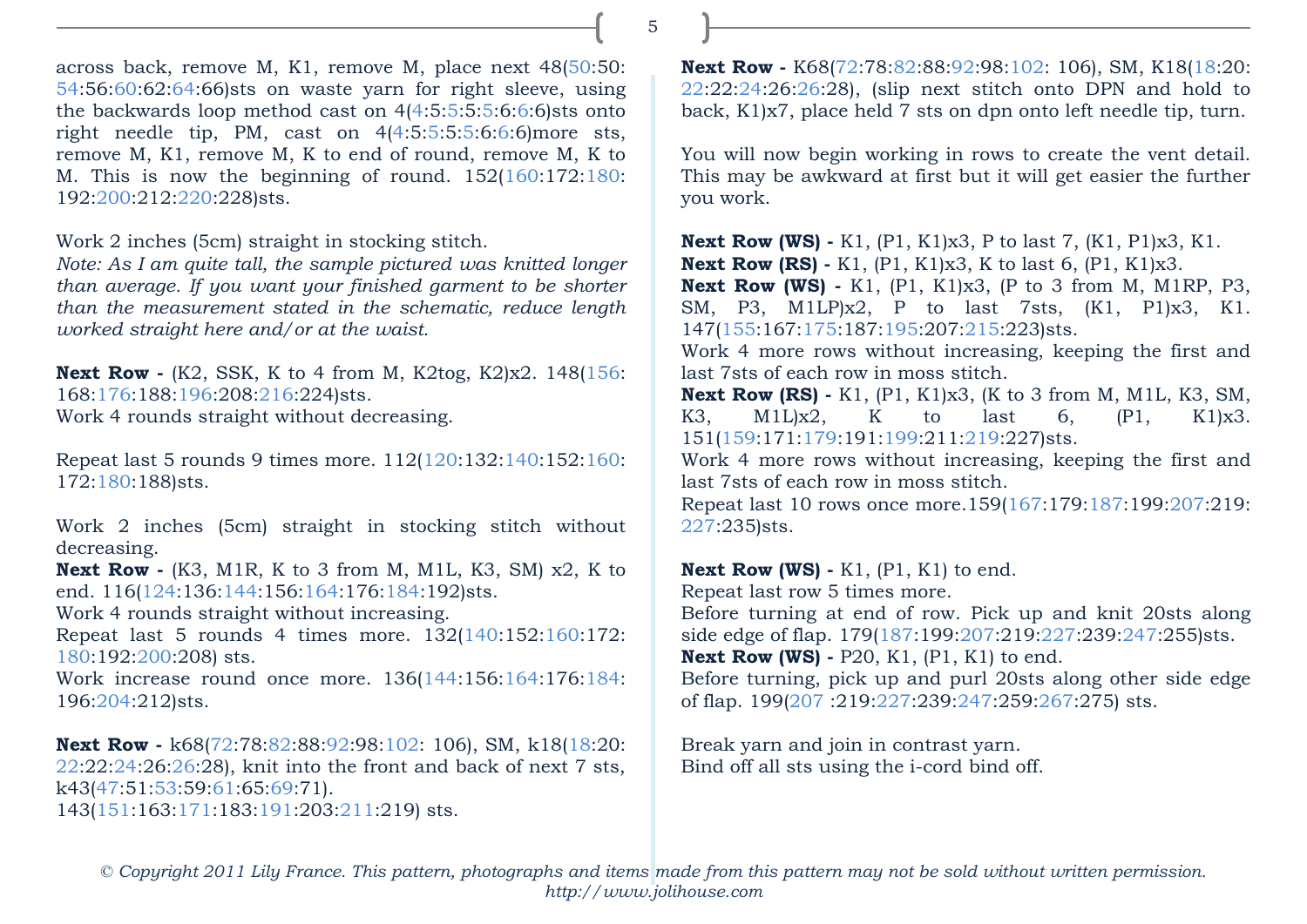across back, remove M, K1, remove M, place next 48(50:50: 54:56:60:62:64:66)sts on waste yarn for right sleeve, using the backwards loop method cast on 4(4:5:5:5:5:6:6:6)sts onto right needle tip, PM, cast on  $4(4:5:5:5:5:6:6)$  more sts, remove M, K1, remove M, K to end of round, remove M, K to M. This is now the beginning of round. 152(160:172:180: 192:200:212:220:228)sts.

Work 2 inches (5cm) straight in stocking stitch.

*Note: As I am quite tall, the sample pictured was knitted longer than average. If you want your finished garment to be shorter than the measurement stated in the schematic, reduce length worked straight here and/or at the waist.* 

**Next Row -** (K2, SSK, K to 4 from M, K2tog, K2)x2. 148(156: 168:176:188:196:208:216:224)sts.

Work 4 rounds straight without decreasing.

Repeat last 5 rounds 9 times more. 112(120:132:140:152:160: 172:180:188)sts.

Work 2 inches (5cm) straight in stocking stitch without decreasing.

**Next Row -** (K3, M1R, K to 3 from M, M1L, K3, SM) x2, K to end. 116(124:136:144:156:164:176:184:192)sts.

Work 4 rounds straight without increasing.

Repeat last 5 rounds 4 times more. 132(140:152:160:172: 180:192:200:208) sts.

Work increase round once more. 136(144:156:164:176:184: 196:204:212)sts.

**Next Row -** k68(72:78:82:88:92:98:102: 106), SM, k18(18:20: 22:22:24:26:26:28), knit into the front and back of next 7 sts, k43(47:51:53:59:61:65:69:71). 143(151:163:171:183:191:203:211:219) sts.

**Next Row -** K68(72:78:82:88:92:98:102: 106), SM, K18(18:20: 22:22:24:26:26:28), (slip next stitch onto DPN and hold to back, K1)x7, place held 7 sts on dpn onto left needle tip, turn.

You will now begin working in rows to create the vent detail. This may be awkward at first but it will get easier the further you work.

**Next Row (WS) -** K1, (P1, K1)x3, P to last 7, (K1, P1)x3, K1. **Next Row (RS) -** K1, (P1, K1)x3, K to last 6, (P1, K1)x3. **Next Row (WS) -** K1, (P1, K1)x3, (P to 3 from M, M1RP, P3, SM, P3, M1LP)x2, P to last 7sts, (K1, P1)x3, K1. 147(155:167:175:187:195:207:215:223)sts.

Work 4 more rows without increasing, keeping the first and last 7sts of each row in moss stitch.

**Next Row (RS) -** K1, (P1, K1)x3, (K to 3 from M, M1L, K3, SM, K3, M1L)x2, K to last 6, (P1, K1)x3. 151(159:171:179:191:199:211:219:227)sts.

Work 4 more rows without increasing, keeping the first and last 7sts of each row in moss stitch.

Repeat last 10 rows once more.159(167:179:187:199:207:219: 227:235)sts.

# **Next Row (WS) -** K1, (P1, K1) to end.

Repeat last row 5 times more.

Before turning at end of row. Pick up and knit 20sts along side edge of flap. 179(187:199:207:219:227:239:247:255)sts.

**Next Row (WS) -** P20, K1, (P1, K1) to end.

Before turning, pick up and purl 20sts along other side edge of flap. 199(207 :219:227:239:247:259:267:275) sts.

Break yarn and join in contrast yarn. Bind off all sts using the i-cord bind off.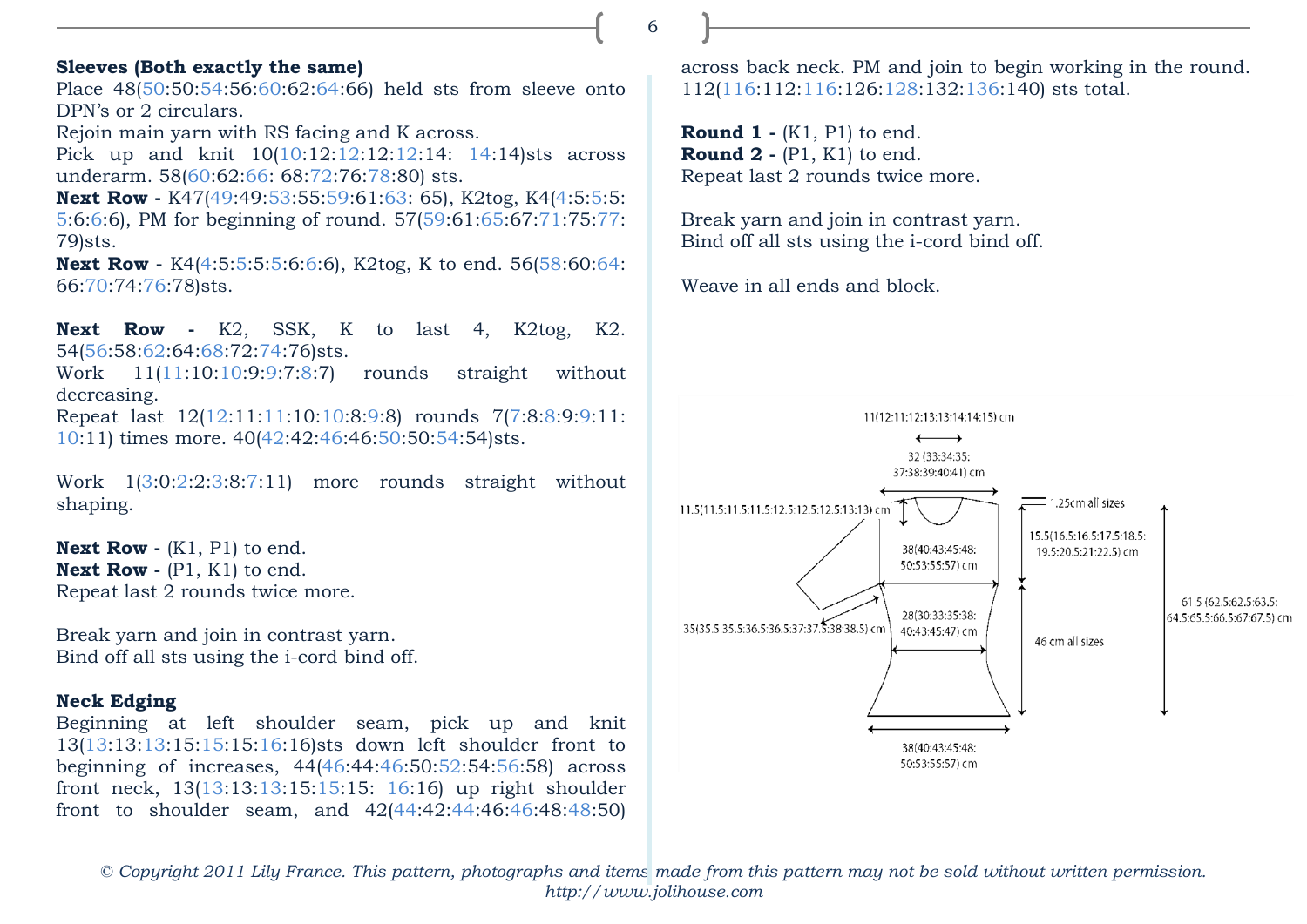# **Sleeves (Both exactly the same)**

Place 48(50:50:54:56:60:62:64:66) held sts from sleeve onto DPN's or 2 circulars.

Rejoin main yarn with RS facing and K across.

Pick up and knit 10(10:12:12:12:12:14: 14:14)sts across underarm. 58(60:62:66: 68:72:76:78:80) sts.

**Next Row -** K47(49:49:53:55:59:61:63: 65), K2tog, K4(4:5:5:5: 5:6:6:6), PM for beginning of round. 57(59:61:65:67:71:75:77: 79)sts.

**Next Row -** K4(4:5:5:5:5:6:6:6), K2tog, K to end. 56(58:60:64: 66:70:74:76:78)sts.

**Next Row -** K2, SSK, K to last 4, K2tog, K2. 54(56:58:62:64:68:72:74:76)sts.

Work 11(11:10:10:9:9:7:8:7) rounds straight without decreasing.

Repeat last 12(12:11:11:10:10:8:9:8) rounds 7(7:8:8:9:9:11: 10:11) times more. 40(42:42:46:46:50:50:54:54)sts.

Work 1(3:0:2:2:3:8:7:11) more rounds straight without shaping.

**Next Row -** (K1, P1) to end. **Next Row -** (P1, K1) to end. Repeat last 2 rounds twice more.

Break yarn and join in contrast yarn. Bind off all sts using the i-cord bind off.

# **Neck Edging**

Beginning at left shoulder seam, pick up and knit 13(13:13:13:15:15:15:16:16)sts down left shoulder front to beginning of increases, 44(46:44:46:50:52:54:56:58) across front neck, 13(13:13:13:15:15:15: 16:16) up right shoulder front to shoulder seam, and 42(44:42:44:46:46:48:48:50)

across back neck. PM and join to begin working in the round. 112(116:112:116:126:128:132:136:140) sts total.

**Round 1 -** (K1, P1) to end. **Round 2 -** (P1, K1) to end. Repeat last 2 rounds twice more.

Break yarn and join in contrast yarn. Bind off all sts using the i-cord bind off.

Weave in all ends and block.